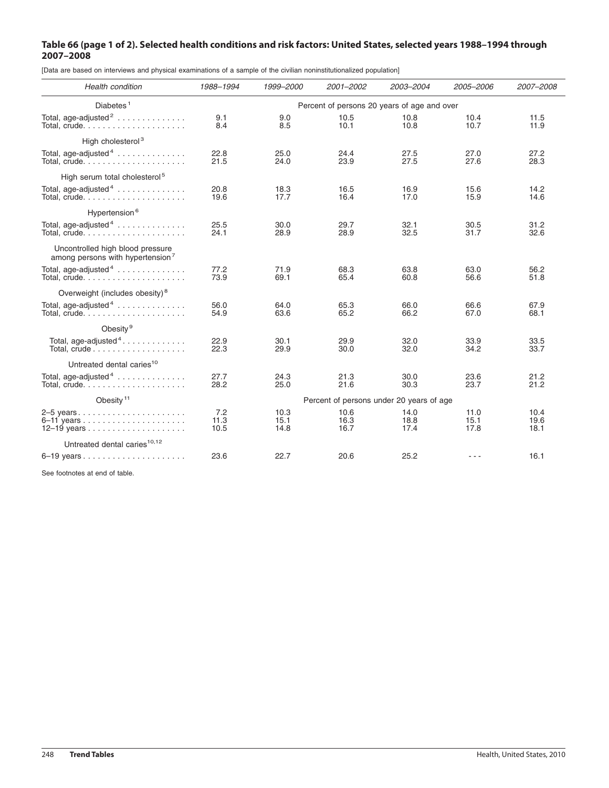## Table 66 (page 1 of 2). Selected health conditions and risk factors: United States, selected years 1988–1994 through **2007–2008**

[Data are based on interviews and physical examinations of a sample of the civilian noninstitutionalized population]

| Health condition                                                                 | 1988-1994                                   | 1999-2000            | 2001-2002            | 2003-2004            | 2005-2006            | 2007-2008            |
|----------------------------------------------------------------------------------|---------------------------------------------|----------------------|----------------------|----------------------|----------------------|----------------------|
| Diabetes <sup>1</sup>                                                            | Percent of persons 20 years of age and over |                      |                      |                      |                      |                      |
| Total, age-adjusted <sup>2</sup>                                                 | 9.1<br>8.4                                  | 9.0<br>8.5           | 10.5<br>10.1         | 10.8<br>10.8         | 10.4<br>10.7         | 11.5<br>11.9         |
| High cholesterol <sup>3</sup>                                                    |                                             |                      |                      |                      |                      |                      |
| Total, age-adjusted $4 \ldots \ldots \ldots \ldots$                              | 22.8<br>21.5                                | 25.0<br>24.0         | 24.4<br>23.9         | 27.5<br>27.5         | 27.0<br>27.6         | 27.2<br>28.3         |
| High serum total cholesterol <sup>5</sup>                                        |                                             |                      |                      |                      |                      |                      |
| Total, age-adjusted $4$                                                          | 20.8<br>19.6                                | 18.3<br>17.7         | 16.5<br>16.4         | 16.9<br>17.0         | 15.6<br>15.9         | 14.2<br>14.6         |
| Hypertension <sup>6</sup>                                                        |                                             |                      |                      |                      |                      |                      |
| Total, age-adjusted $4$                                                          | 25.5<br>24.1                                | 30.0<br>28.9         | 29.7<br>28.9         | 32.1<br>32.5         | 30.5<br>31.7         | 31.2<br>32.6         |
| Uncontrolled high blood pressure<br>among persons with hypertension <sup>7</sup> |                                             |                      |                      |                      |                      |                      |
| Total, age-adjusted <sup>4</sup>                                                 | 77.2<br>73.9                                | 71.9<br>69.1         | 68.3<br>65.4         | 63.8<br>60.8         | 63.0<br>56.6         | 56.2<br>51.8         |
| Overweight (includes obesity) <sup>8</sup>                                       |                                             |                      |                      |                      |                      |                      |
| Total, age-adjusted <sup>4</sup>                                                 | 56.0<br>54.9                                | 64.0<br>63.6         | 65.3<br>65.2         | 66.0<br>66.2         | 66.6<br>67.0         | 67.9<br>68.1         |
| Obesity <sup>9</sup>                                                             |                                             |                      |                      |                      |                      |                      |
| Total, age-adjusted <sup>4</sup><br>Total, crude                                 | 22.9<br>22.3                                | 30.1<br>29.9         | 29.9<br>30.0         | 32.0<br>32.0         | 33.9<br>34.2         | 33.5<br>33.7         |
| Untreated dental caries <sup>10</sup>                                            |                                             |                      |                      |                      |                      |                      |
| Total, age-adjusted <sup>4</sup>                                                 | 27.7<br>28.2                                | 24.3<br>25.0         | 21.3<br>21.6         | 30.0<br>30.3         | 23.6<br>23.7         | 21.2<br>21.2         |
| Obesity <sup>11</sup>                                                            | Percent of persons under 20 years of age    |                      |                      |                      |                      |                      |
|                                                                                  | 7.2<br>11.3<br>10.5                         | 10.3<br>15.1<br>14.8 | 10.6<br>16.3<br>16.7 | 14.0<br>18.8<br>17.4 | 11.0<br>15.1<br>17.8 | 10.4<br>19.6<br>18.1 |
| Untreated dental caries <sup>10,12</sup>                                         |                                             |                      |                      |                      |                      |                      |
|                                                                                  | 23.6                                        | 22.7                 | 20.6                 | 25.2                 |                      | 16.1                 |

See footnotes at end of table.